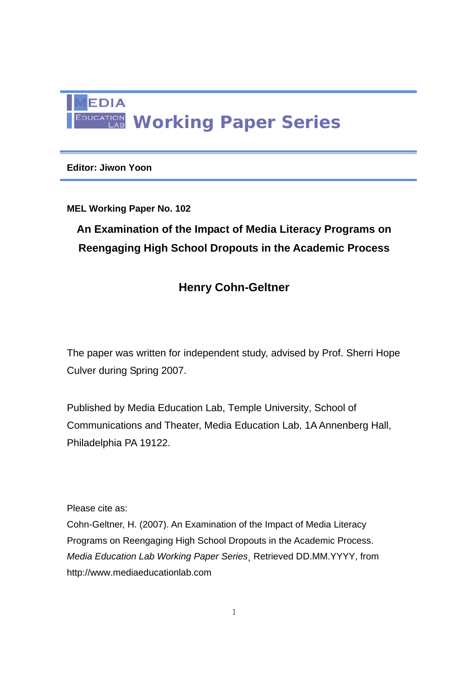

### **Editor: Jiwon Yoon**

### **MEL Working Paper No. 102**

# **An Examination of the Impact of Media Literacy Programs on Reengaging High School Dropouts in the Academic Process**

# **Henry Cohn-Geltner**

The paper was written for independent study, advised by Prof. Sherri Hope Culver during Spring 2007.

Published by Media Education Lab, Temple University, School of Communications and Theater, Media Education Lab, 1A Annenberg Hall, Philadelphia PA 19122.

Please cite as:

Cohn-Geltner, H. (2007). An Examination of the Impact of Media Literacy Programs on Reengaging High School Dropouts in the Academic Process. *Media Education Lab Working Paper Series*¸ Retrieved DD.MM.YYYY, from http://www.mediaeducationlab.com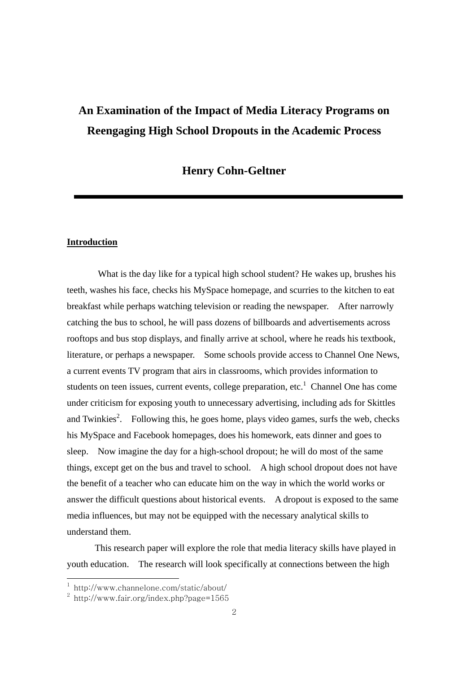# **An Examination of the Impact of Media Literacy Programs on Reengaging High School Dropouts in the Academic Process**

#### **Henry Cohn-Geltner**

#### **Introduction**

 What is the day like for a typical high school student? He wakes up, brushes his teeth, washes his face, checks his MySpace homepage, and scurries to the kitchen to eat breakfast while perhaps watching television or reading the newspaper. After narrowly catching the bus to school, he will pass dozens of billboards and advertisements across rooftops and bus stop displays, and finally arrive at school, where he reads his textbook, literature, or perhaps a newspaper. Some schools provide access to Channel One News, a current events TV program that airs in classrooms, which provides information to students on teen issues, current events, college preparation, etc.<sup>1</sup> Channel One has come under criticism for exposing youth to unnecessary advertising, including ads for Skittles and Twinkies<sup>2</sup>. Following this, he goes home, plays video games, surfs the web, checks his MySpace and Facebook homepages, does his homework, eats dinner and goes to sleep. Now imagine the day for a high-school dropout; he will do most of the same things, except get on the bus and travel to school. A high school dropout does not have the benefit of a teacher who can educate him on the way in which the world works or answer the difficult questions about historical events. A dropout is exposed to the same media influences, but may not be equipped with the necessary analytical skills to understand them.

This research paper will explore the role that media literacy skills have played in youth education. The research will look specifically at connections between the high

<sup>1</sup> http://www.channelone.com/static/about/

 $^2$  http://www.fair.org/index.php?page=1565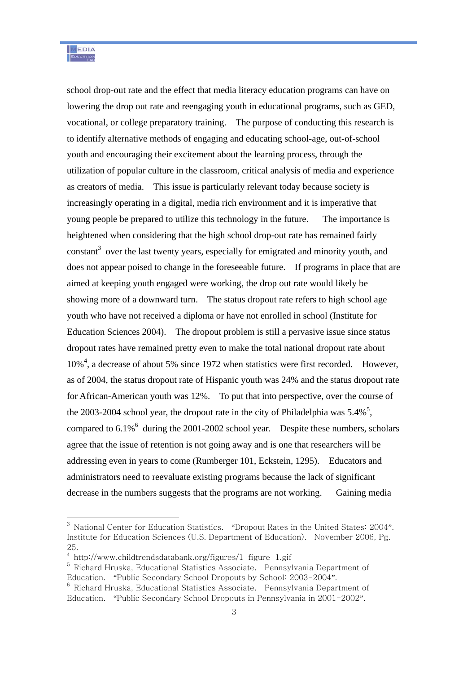school drop-out rate and the effect that media literacy education programs can have on lowering the drop out rate and reengaging youth in educational programs, such as GED, vocational, or college preparatory training. The purpose of conducting this research is to identify alternative methods of engaging and educating school-age, out-of-school youth and encouraging their excitement about the learning process, through the utilization of popular culture in the classroom, critical analysis of media and experience as creators of media. This issue is particularly relevant today because society is increasingly operating in a digital, media rich environment and it is imperative that young people be prepared to utilize this technology in the future. The importance is heightened when considering that the high school drop-out rate has remained fairly constant<sup>3</sup> over the last twenty years, especially for emigrated and minority youth, and does not appear poised to change in the foreseeable future. If programs in place that are aimed at keeping youth engaged were working, the drop out rate would likely be showing more of a downward turn. The status dropout rate refers to high school age youth who have not received a diploma or have not enrolled in school (Institute for Education Sciences 2004). The dropout problem is still a pervasive issue since status dropout rates have remained pretty even to make the total national dropout rate about 10%<sup>4</sup>, a decrease of about 5% since 1972 when statistics were first recorded. However, as of 2004, the status dropout rate of Hispanic youth was 24% and the status dropout rate for African-American youth was 12%. To put that into perspective, over the course of the 2003-2004 school year, the dropout rate in the city of Philadelphia was  $5.4\%$ <sup>5</sup>, compared to  $6.1\%$ <sup>6</sup> during the 2001-2002 school year. Despite these numbers, scholars agree that the issue of retention is not going away and is one that researchers will be addressing even in years to come (Rumberger 101, Eckstein, 1295). Educators and administrators need to reevaluate existing programs because the lack of significant decrease in the numbers suggests that the programs are not working. Gaining media

 $^3$  National Center for Education Statistics. "Dropout Rates in the United States: 2004". Institute for Education Sciences (U.S. Department of Education). November 2006, Pg. 25.

<sup>4</sup> http://www.childtrendsdatabank.org/figures/1-figure-1.gif

 $^5$  Richard Hruska, Educational Statistics Associate. Pennsylvania Department of Education. "Public Secondary School Dropouts by School: 2003-2004".

 $6$  Richard Hruska, Educational Statistics Associate. Pennsylvania Department of Education. "Public Secondary School Dropouts in Pennsylvania in 2001-2002".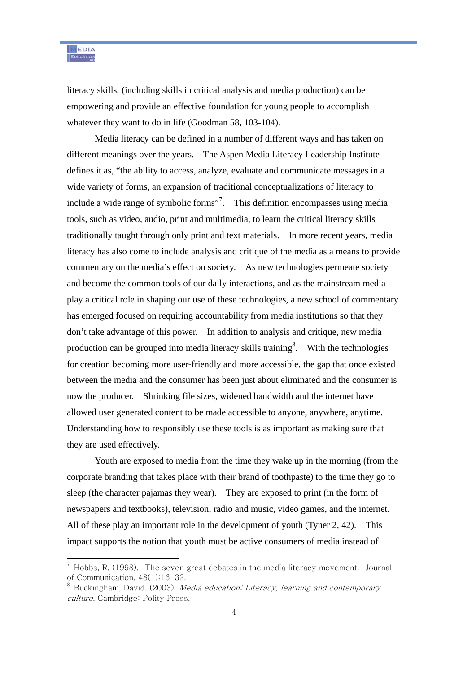

literacy skills, (including skills in critical analysis and media production) can be empowering and provide an effective foundation for young people to accomplish whatever they want to do in life (Goodman 58, 103-104).

Media literacy can be defined in a number of different ways and has taken on different meanings over the years. The Aspen Media Literacy Leadership Institute defines it as, "the ability to access, analyze, evaluate and communicate messages in a wide variety of forms, an expansion of traditional conceptualizations of literacy to include a wide range of symbolic forms"<sup>7</sup>. This definition encompasses using media tools, such as video, audio, print and multimedia, to learn the critical literacy skills traditionally taught through only print and text materials. In more recent years, media literacy has also come to include analysis and critique of the media as a means to provide commentary on the media's effect on society. As new technologies permeate society and become the common tools of our daily interactions, and as the mainstream media play a critical role in shaping our use of these technologies, a new school of commentary has emerged focused on requiring accountability from media institutions so that they don't take advantage of this power. In addition to analysis and critique, new media production can be grouped into media literacy skills training<sup>8</sup>. With the technologies for creation becoming more user-friendly and more accessible, the gap that once existed between the media and the consumer has been just about eliminated and the consumer is now the producer. Shrinking file sizes, widened bandwidth and the internet have allowed user generated content to be made accessible to anyone, anywhere, anytime. Understanding how to responsibly use these tools is as important as making sure that they are used effectively.

Youth are exposed to media from the time they wake up in the morning (from the corporate branding that takes place with their brand of toothpaste) to the time they go to sleep (the character pajamas they wear). They are exposed to print (in the form of newspapers and textbooks), television, radio and music, video games, and the internet. All of these play an important role in the development of youth (Tyner 2, 42). This impact supports the notion that youth must be active consumers of media instead of

 $^7$  Hobbs, R. (1998). The seven great debates in the media literacy movement. Journal of Communication, 48(1):16-32.

 $^8$  Buckingham, David. (2003). *Media education: Literacy, learning and contemporary* culture. Cambridge: Polity Press.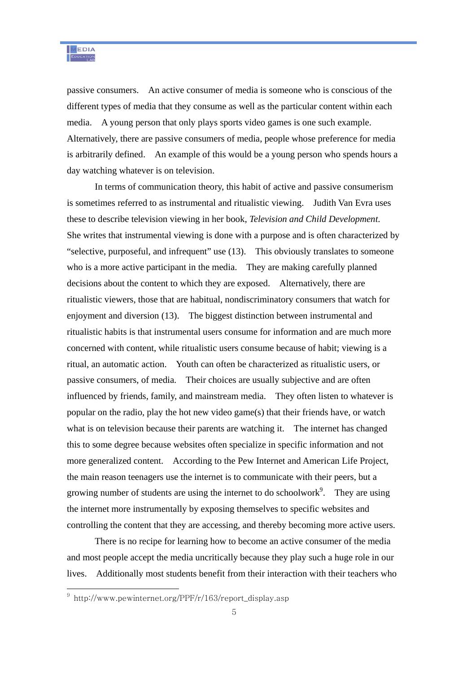passive consumers. An active consumer of media is someone who is conscious of the different types of media that they consume as well as the particular content within each media. A young person that only plays sports video games is one such example. Alternatively, there are passive consumers of media, people whose preference for media is arbitrarily defined. An example of this would be a young person who spends hours a day watching whatever is on television.

In terms of communication theory, this habit of active and passive consumerism is sometimes referred to as instrumental and ritualistic viewing. Judith Van Evra uses these to describe television viewing in her book, *Television and Child Development*. She writes that instrumental viewing is done with a purpose and is often characterized by "selective, purposeful, and infrequent" use (13). This obviously translates to someone who is a more active participant in the media. They are making carefully planned decisions about the content to which they are exposed. Alternatively, there are ritualistic viewers, those that are habitual, nondiscriminatory consumers that watch for enjoyment and diversion (13). The biggest distinction between instrumental and ritualistic habits is that instrumental users consume for information and are much more concerned with content, while ritualistic users consume because of habit; viewing is a ritual, an automatic action. Youth can often be characterized as ritualistic users, or passive consumers, of media. Their choices are usually subjective and are often influenced by friends, family, and mainstream media. They often listen to whatever is popular on the radio, play the hot new video game(s) that their friends have, or watch what is on television because their parents are watching it. The internet has changed this to some degree because websites often specialize in specific information and not more generalized content. According to the Pew Internet and American Life Project, the main reason teenagers use the internet is to communicate with their peers, but a growing number of students are using the internet to do schoolwork<sup>9</sup>. They are using the internet more instrumentally by exposing themselves to specific websites and controlling the content that they are accessing, and thereby becoming more active users.

There is no recipe for learning how to become an active consumer of the media and most people accept the media uncritically because they play such a huge role in our lives. Additionally most students benefit from their interaction with their teachers who

<sup>&</sup>lt;sup>9</sup> http://www.pewinternet.org/PPF/r/163/report\_display.asp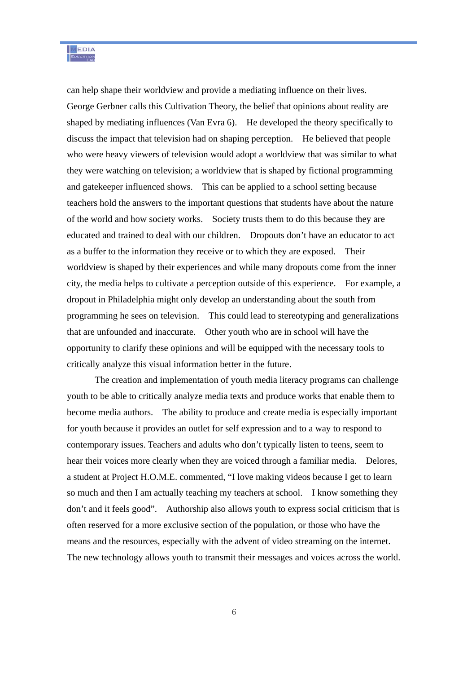can help shape their worldview and provide a mediating influence on their lives. George Gerbner calls this Cultivation Theory, the belief that opinions about reality are shaped by mediating influences (Van Evra 6). He developed the theory specifically to discuss the impact that television had on shaping perception. He believed that people who were heavy viewers of television would adopt a worldview that was similar to what they were watching on television; a worldview that is shaped by fictional programming and gatekeeper influenced shows. This can be applied to a school setting because teachers hold the answers to the important questions that students have about the nature of the world and how society works. Society trusts them to do this because they are educated and trained to deal with our children. Dropouts don't have an educator to act as a buffer to the information they receive or to which they are exposed. Their worldview is shaped by their experiences and while many dropouts come from the inner city, the media helps to cultivate a perception outside of this experience. For example, a dropout in Philadelphia might only develop an understanding about the south from programming he sees on television. This could lead to stereotyping and generalizations that are unfounded and inaccurate. Other youth who are in school will have the opportunity to clarify these opinions and will be equipped with the necessary tools to critically analyze this visual information better in the future.

The creation and implementation of youth media literacy programs can challenge youth to be able to critically analyze media texts and produce works that enable them to become media authors. The ability to produce and create media is especially important for youth because it provides an outlet for self expression and to a way to respond to contemporary issues. Teachers and adults who don't typically listen to teens, seem to hear their voices more clearly when they are voiced through a familiar media. Delores, a student at Project H.O.M.E. commented, "I love making videos because I get to learn so much and then I am actually teaching my teachers at school. I know something they don't and it feels good". Authorship also allows youth to express social criticism that is often reserved for a more exclusive section of the population, or those who have the means and the resources, especially with the advent of video streaming on the internet. The new technology allows youth to transmit their messages and voices across the world.

6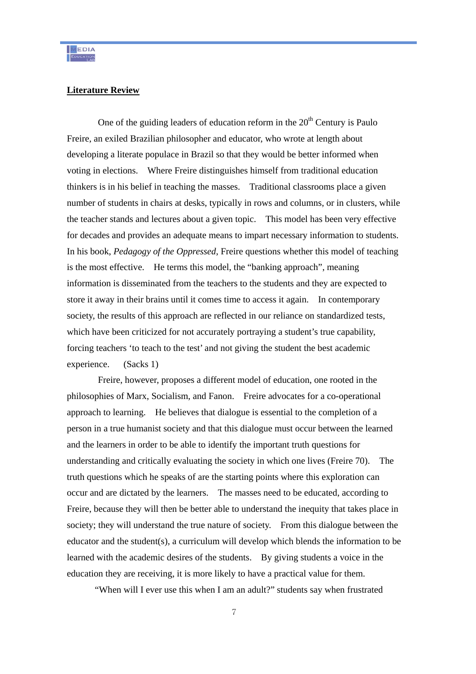#### **Literature Review**

One of the guiding leaders of education reform in the  $20<sup>th</sup>$  Century is Paulo Freire, an exiled Brazilian philosopher and educator, who wrote at length about developing a literate populace in Brazil so that they would be better informed when voting in elections. Where Freire distinguishes himself from traditional education thinkers is in his belief in teaching the masses. Traditional classrooms place a given number of students in chairs at desks, typically in rows and columns, or in clusters, while the teacher stands and lectures about a given topic. This model has been very effective for decades and provides an adequate means to impart necessary information to students. In his book, *Pedagogy of the Oppressed*, Freire questions whether this model of teaching is the most effective. He terms this model, the "banking approach", meaning information is disseminated from the teachers to the students and they are expected to store it away in their brains until it comes time to access it again. In contemporary society, the results of this approach are reflected in our reliance on standardized tests, which have been criticized for not accurately portraying a student's true capability, forcing teachers 'to teach to the test' and not giving the student the best academic experience. (Sacks 1)

 Freire, however, proposes a different model of education, one rooted in the philosophies of Marx, Socialism, and Fanon. Freire advocates for a co-operational approach to learning. He believes that dialogue is essential to the completion of a person in a true humanist society and that this dialogue must occur between the learned and the learners in order to be able to identify the important truth questions for understanding and critically evaluating the society in which one lives (Freire 70). The truth questions which he speaks of are the starting points where this exploration can occur and are dictated by the learners. The masses need to be educated, according to Freire, because they will then be better able to understand the inequity that takes place in society; they will understand the true nature of society. From this dialogue between the educator and the student(s), a curriculum will develop which blends the information to be learned with the academic desires of the students. By giving students a voice in the education they are receiving, it is more likely to have a practical value for them.

"When will I ever use this when I am an adult?" students say when frustrated

7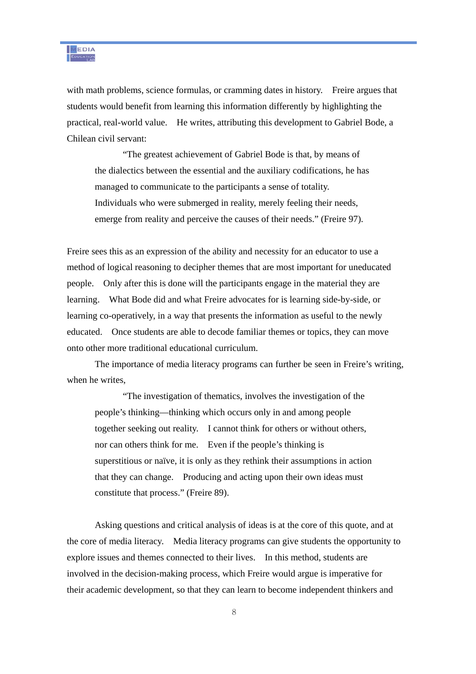with math problems, science formulas, or cramming dates in history. Freire argues that students would benefit from learning this information differently by highlighting the practical, real-world value. He writes, attributing this development to Gabriel Bode, a Chilean civil servant:

"The greatest achievement of Gabriel Bode is that, by means of the dialectics between the essential and the auxiliary codifications, he has managed to communicate to the participants a sense of totality. Individuals who were submerged in reality, merely feeling their needs, emerge from reality and perceive the causes of their needs." (Freire 97).

Freire sees this as an expression of the ability and necessity for an educator to use a method of logical reasoning to decipher themes that are most important for uneducated people. Only after this is done will the participants engage in the material they are learning. What Bode did and what Freire advocates for is learning side-by-side, or learning co-operatively, in a way that presents the information as useful to the newly educated. Once students are able to decode familiar themes or topics, they can move onto other more traditional educational curriculum.

The importance of media literacy programs can further be seen in Freire's writing, when he writes.

"The investigation of thematics, involves the investigation of the people's thinking—thinking which occurs only in and among people together seeking out reality. I cannot think for others or without others, nor can others think for me. Even if the people's thinking is superstitious or naïve, it is only as they rethink their assumptions in action that they can change. Producing and acting upon their own ideas must constitute that process." (Freire 89).

Asking questions and critical analysis of ideas is at the core of this quote, and at the core of media literacy. Media literacy programs can give students the opportunity to explore issues and themes connected to their lives. In this method, students are involved in the decision-making process, which Freire would argue is imperative for their academic development, so that they can learn to become independent thinkers and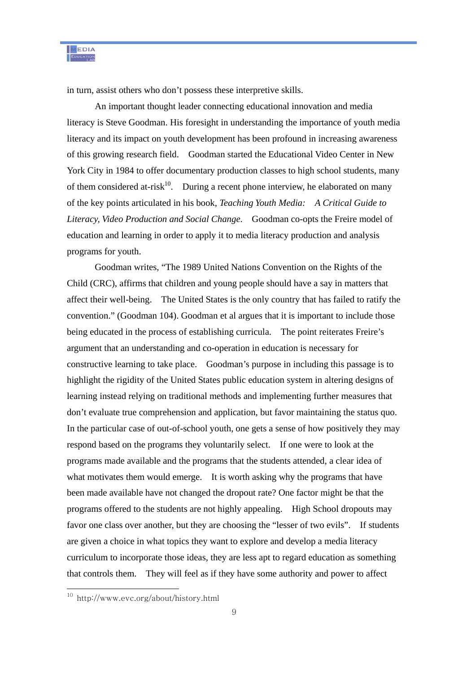in turn, assist others who don't possess these interpretive skills.

An important thought leader connecting educational innovation and media literacy is Steve Goodman. His foresight in understanding the importance of youth media literacy and its impact on youth development has been profound in increasing awareness of this growing research field. Goodman started the Educational Video Center in New York City in 1984 to offer documentary production classes to high school students, many of them considered at-risk<sup>10</sup>. During a recent phone interview, he elaborated on many of the key points articulated in his book, *Teaching Youth Media: A Critical Guide to Literacy, Video Production and Social Change*. Goodman co-opts the Freire model of education and learning in order to apply it to media literacy production and analysis programs for youth.

Goodman writes, "The 1989 United Nations Convention on the Rights of the Child (CRC), affirms that children and young people should have a say in matters that affect their well-being. The United States is the only country that has failed to ratify the convention." (Goodman 104). Goodman et al argues that it is important to include those being educated in the process of establishing curricula. The point reiterates Freire's argument that an understanding and co-operation in education is necessary for constructive learning to take place. Goodman's purpose in including this passage is to highlight the rigidity of the United States public education system in altering designs of learning instead relying on traditional methods and implementing further measures that don't evaluate true comprehension and application, but favor maintaining the status quo. In the particular case of out-of-school youth, one gets a sense of how positively they may respond based on the programs they voluntarily select. If one were to look at the programs made available and the programs that the students attended, a clear idea of what motivates them would emerge. It is worth asking why the programs that have been made available have not changed the dropout rate? One factor might be that the programs offered to the students are not highly appealing. High School dropouts may favor one class over another, but they are choosing the "lesser of two evils". If students are given a choice in what topics they want to explore and develop a media literacy curriculum to incorporate those ideas, they are less apt to regard education as something that controls them. They will feel as if they have some authority and power to affect

<sup>10</sup> http://www.evc.org/about/history.html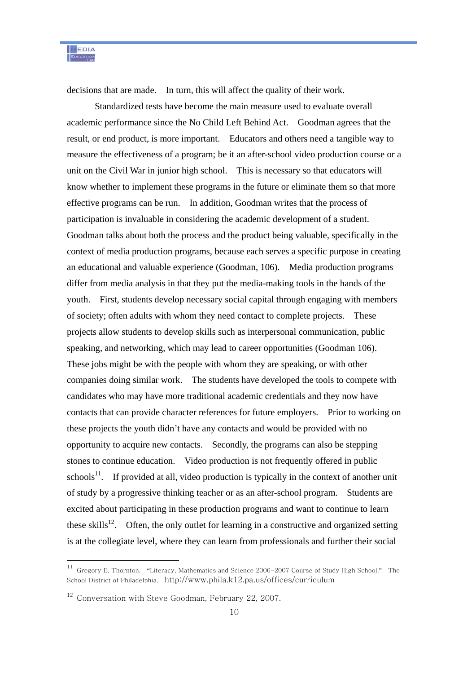decisions that are made. In turn, this will affect the quality of their work.

Standardized tests have become the main measure used to evaluate overall academic performance since the No Child Left Behind Act. Goodman agrees that the result, or end product, is more important. Educators and others need a tangible way to measure the effectiveness of a program; be it an after-school video production course or a unit on the Civil War in junior high school. This is necessary so that educators will know whether to implement these programs in the future or eliminate them so that more effective programs can be run. In addition, Goodman writes that the process of participation is invaluable in considering the academic development of a student. Goodman talks about both the process and the product being valuable, specifically in the context of media production programs, because each serves a specific purpose in creating an educational and valuable experience (Goodman, 106). Media production programs differ from media analysis in that they put the media-making tools in the hands of the youth. First, students develop necessary social capital through engaging with members of society; often adults with whom they need contact to complete projects. These projects allow students to develop skills such as interpersonal communication, public speaking, and networking, which may lead to career opportunities (Goodman 106). These jobs might be with the people with whom they are speaking, or with other companies doing similar work. The students have developed the tools to compete with candidates who may have more traditional academic credentials and they now have contacts that can provide character references for future employers. Prior to working on these projects the youth didn't have any contacts and would be provided with no opportunity to acquire new contacts. Secondly, the programs can also be stepping stones to continue education. Video production is not frequently offered in public schools<sup>11</sup>. If provided at all, video production is typically in the context of another unit of study by a progressive thinking teacher or as an after-school program. Students are excited about participating in these production programs and want to continue to learn these skills $^{12}$ . Often, the only outlet for learning in a constructive and organized setting is at the collegiate level, where they can learn from professionals and further their social

 $^{11}$  Gregory E. Thornton. "Literacy, Mathematics and Science 2006-2007 Course of Study High School." The School District of Philadelphia. http://www.phila.k12.pa.us/offices/curriculum

<sup>&</sup>lt;sup>12</sup> Conversation with Steve Goodman, February 22, 2007.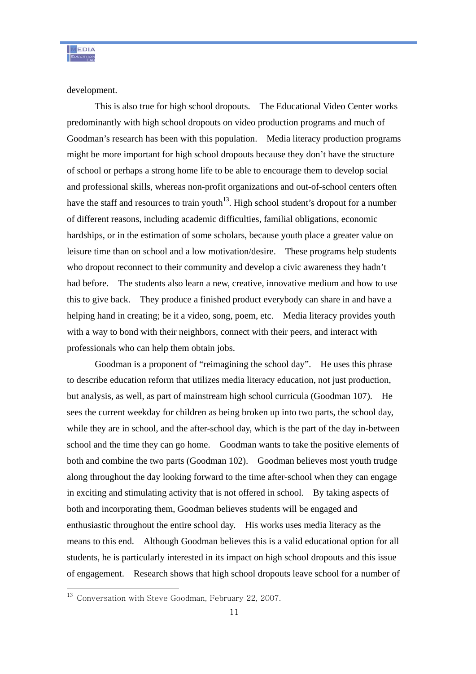development.

This is also true for high school dropouts. The Educational Video Center works predominantly with high school dropouts on video production programs and much of Goodman's research has been with this population. Media literacy production programs might be more important for high school dropouts because they don't have the structure of school or perhaps a strong home life to be able to encourage them to develop social and professional skills, whereas non-profit organizations and out-of-school centers often have the staff and resources to train youth<sup>13</sup>. High school student's dropout for a number of different reasons, including academic difficulties, familial obligations, economic hardships, or in the estimation of some scholars, because youth place a greater value on leisure time than on school and a low motivation/desire. These programs help students who dropout reconnect to their community and develop a civic awareness they hadn't had before. The students also learn a new, creative, innovative medium and how to use this to give back. They produce a finished product everybody can share in and have a helping hand in creating; be it a video, song, poem, etc. Media literacy provides youth with a way to bond with their neighbors, connect with their peers, and interact with professionals who can help them obtain jobs.

Goodman is a proponent of "reimagining the school day". He uses this phrase to describe education reform that utilizes media literacy education, not just production, but analysis, as well, as part of mainstream high school curricula (Goodman 107). He sees the current weekday for children as being broken up into two parts, the school day, while they are in school, and the after-school day, which is the part of the day in-between school and the time they can go home. Goodman wants to take the positive elements of both and combine the two parts (Goodman 102). Goodman believes most youth trudge along throughout the day looking forward to the time after-school when they can engage in exciting and stimulating activity that is not offered in school. By taking aspects of both and incorporating them, Goodman believes students will be engaged and enthusiastic throughout the entire school day. His works uses media literacy as the means to this end. Although Goodman believes this is a valid educational option for all students, he is particularly interested in its impact on high school dropouts and this issue of engagement. Research shows that high school dropouts leave school for a number of

<sup>&</sup>lt;sup>13</sup> Conversation with Steve Goodman, February 22, 2007.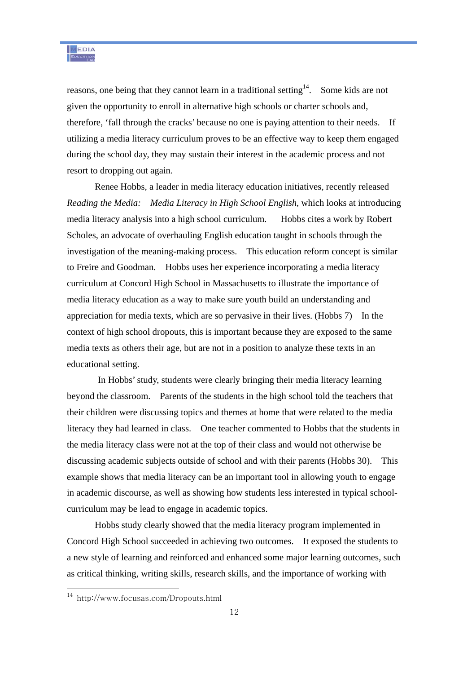reasons, one being that they cannot learn in a traditional setting<sup>14</sup>. Some kids are not given the opportunity to enroll in alternative high schools or charter schools and, therefore, 'fall through the cracks' because no one is paying attention to their needs. If utilizing a media literacy curriculum proves to be an effective way to keep them engaged during the school day, they may sustain their interest in the academic process and not resort to dropping out again.

Renee Hobbs, a leader in media literacy education initiatives, recently released *Reading the Media: Media Literacy in High School English*, which looks at introducing media literacy analysis into a high school curriculum. Hobbs cites a work by Robert Scholes, an advocate of overhauling English education taught in schools through the investigation of the meaning-making process. This education reform concept is similar to Freire and Goodman. Hobbs uses her experience incorporating a media literacy curriculum at Concord High School in Massachusetts to illustrate the importance of media literacy education as a way to make sure youth build an understanding and appreciation for media texts, which are so pervasive in their lives. (Hobbs 7) In the context of high school dropouts, this is important because they are exposed to the same media texts as others their age, but are not in a position to analyze these texts in an educational setting.

 In Hobbs' study, students were clearly bringing their media literacy learning beyond the classroom. Parents of the students in the high school told the teachers that their children were discussing topics and themes at home that were related to the media literacy they had learned in class. One teacher commented to Hobbs that the students in the media literacy class were not at the top of their class and would not otherwise be discussing academic subjects outside of school and with their parents (Hobbs 30). This example shows that media literacy can be an important tool in allowing youth to engage in academic discourse, as well as showing how students less interested in typical schoolcurriculum may be lead to engage in academic topics.

Hobbs study clearly showed that the media literacy program implemented in Concord High School succeeded in achieving two outcomes. It exposed the students to a new style of learning and reinforced and enhanced some major learning outcomes, such as critical thinking, writing skills, research skills, and the importance of working with

<sup>14</sup> http://www.focusas.com/Dropouts.html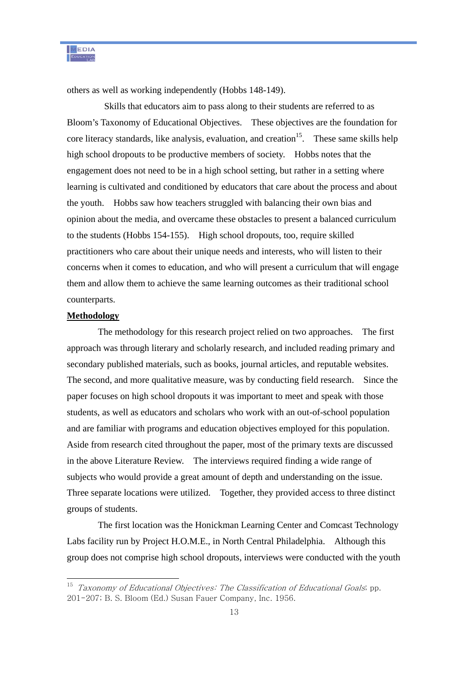others as well as working independently (Hobbs 148-149).

 Skills that educators aim to pass along to their students are referred to as Bloom's Taxonomy of Educational Objectives. These objectives are the foundation for core literacy standards, like analysis, evaluation, and creation<sup>15</sup>. These same skills help high school dropouts to be productive members of society. Hobbs notes that the engagement does not need to be in a high school setting, but rather in a setting where learning is cultivated and conditioned by educators that care about the process and about the youth. Hobbs saw how teachers struggled with balancing their own bias and opinion about the media, and overcame these obstacles to present a balanced curriculum to the students (Hobbs 154-155). High school dropouts, too, require skilled practitioners who care about their unique needs and interests, who will listen to their concerns when it comes to education, and who will present a curriculum that will engage them and allow them to achieve the same learning outcomes as their traditional school counterparts.

#### **Methodology**

 $\overline{a}$ 

 The methodology for this research project relied on two approaches. The first approach was through literary and scholarly research, and included reading primary and secondary published materials, such as books, journal articles, and reputable websites. The second, and more qualitative measure, was by conducting field research. Since the paper focuses on high school dropouts it was important to meet and speak with those students, as well as educators and scholars who work with an out-of-school population and are familiar with programs and education objectives employed for this population. Aside from research cited throughout the paper, most of the primary texts are discussed in the above Literature Review. The interviews required finding a wide range of subjects who would provide a great amount of depth and understanding on the issue. Three separate locations were utilized. Together, they provided access to three distinct groups of students.

 The first location was the Honickman Learning Center and Comcast Technology Labs facility run by Project H.O.M.E., in North Central Philadelphia. Although this group does not comprise high school dropouts, interviews were conducted with the youth

 $15$  Taxonomy of Educational Objectives: The Classification of Educational Goals; pp. 201-207; B. S. Bloom (Ed.) Susan Fauer Company, Inc. 1956.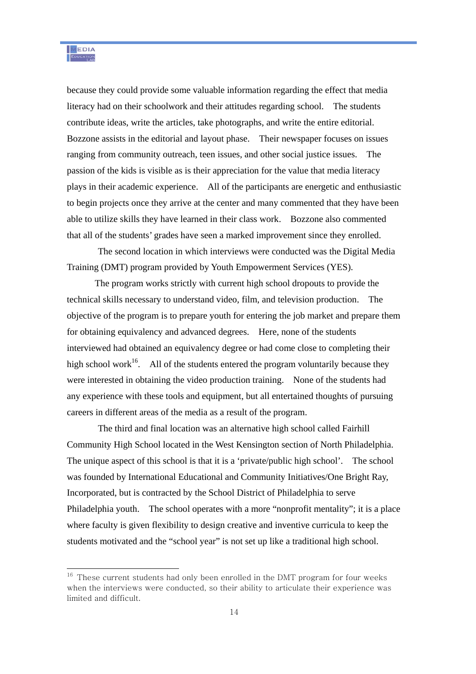because they could provide some valuable information regarding the effect that media literacy had on their schoolwork and their attitudes regarding school. The students contribute ideas, write the articles, take photographs, and write the entire editorial. Bozzone assists in the editorial and layout phase. Their newspaper focuses on issues ranging from community outreach, teen issues, and other social justice issues. The passion of the kids is visible as is their appreciation for the value that media literacy plays in their academic experience. All of the participants are energetic and enthusiastic to begin projects once they arrive at the center and many commented that they have been able to utilize skills they have learned in their class work. Bozzone also commented that all of the students' grades have seen a marked improvement since they enrolled.

 The second location in which interviews were conducted was the Digital Media Training (DMT) program provided by Youth Empowerment Services (YES).

The program works strictly with current high school dropouts to provide the technical skills necessary to understand video, film, and television production. The objective of the program is to prepare youth for entering the job market and prepare them for obtaining equivalency and advanced degrees. Here, none of the students interviewed had obtained an equivalency degree or had come close to completing their high school work<sup>16</sup>. All of the students entered the program voluntarily because they were interested in obtaining the video production training. None of the students had any experience with these tools and equipment, but all entertained thoughts of pursuing careers in different areas of the media as a result of the program.

 The third and final location was an alternative high school called Fairhill Community High School located in the West Kensington section of North Philadelphia. The unique aspect of this school is that it is a 'private/public high school'. The school was founded by International Educational and Community Initiatives/One Bright Ray, Incorporated, but is contracted by the School District of Philadelphia to serve Philadelphia youth. The school operates with a more "nonprofit mentality"; it is a place where faculty is given flexibility to design creative and inventive curricula to keep the students motivated and the "school year" is not set up like a traditional high school.

 $16$  These current students had only been enrolled in the DMT program for four weeks when the interviews were conducted, so their ability to articulate their experience was limited and difficult.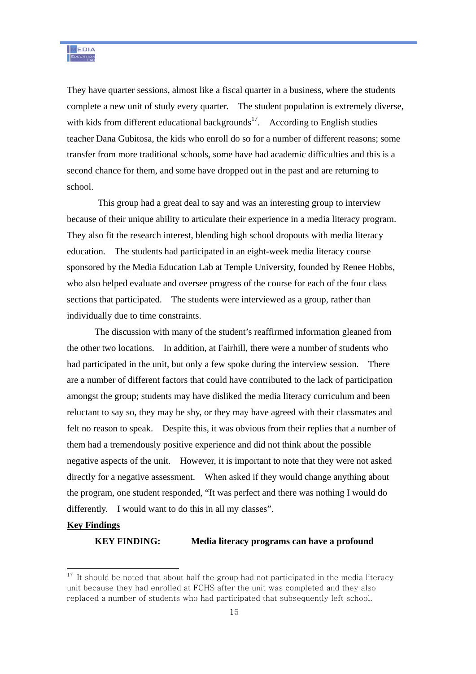They have quarter sessions, almost like a fiscal quarter in a business, where the students complete a new unit of study every quarter. The student population is extremely diverse, with kids from different educational backgrounds<sup>17</sup>. According to English studies teacher Dana Gubitosa, the kids who enroll do so for a number of different reasons; some transfer from more traditional schools, some have had academic difficulties and this is a second chance for them, and some have dropped out in the past and are returning to school.

 This group had a great deal to say and was an interesting group to interview because of their unique ability to articulate their experience in a media literacy program. They also fit the research interest, blending high school dropouts with media literacy education. The students had participated in an eight-week media literacy course sponsored by the Media Education Lab at Temple University, founded by Renee Hobbs, who also helped evaluate and oversee progress of the course for each of the four class sections that participated. The students were interviewed as a group, rather than individually due to time constraints.

The discussion with many of the student's reaffirmed information gleaned from the other two locations. In addition, at Fairhill, there were a number of students who had participated in the unit, but only a few spoke during the interview session. There are a number of different factors that could have contributed to the lack of participation amongst the group; students may have disliked the media literacy curriculum and been reluctant to say so, they may be shy, or they may have agreed with their classmates and felt no reason to speak. Despite this, it was obvious from their replies that a number of them had a tremendously positive experience and did not think about the possible negative aspects of the unit. However, it is important to note that they were not asked directly for a negative assessment. When asked if they would change anything about the program, one student responded, "It was perfect and there was nothing I would do differently. I would want to do this in all my classes".

#### **Key Findings**

 $\overline{a}$ 

#### **KEY FINDING: Media literacy programs can have a profound**

 $17$  It should be noted that about half the group had not participated in the media literacy unit because they had enrolled at FCHS after the unit was completed and they also replaced a number of students who had participated that subsequently left school.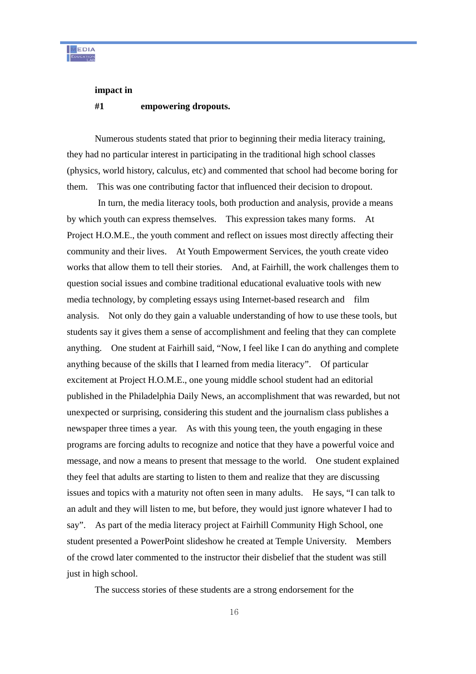

#### **impact in**

#### **#1 empowering dropouts.**

Numerous students stated that prior to beginning their media literacy training, they had no particular interest in participating in the traditional high school classes (physics, world history, calculus, etc) and commented that school had become boring for them. This was one contributing factor that influenced their decision to dropout.

 In turn, the media literacy tools, both production and analysis, provide a means by which youth can express themselves. This expression takes many forms. At Project H.O.M.E., the youth comment and reflect on issues most directly affecting their community and their lives. At Youth Empowerment Services, the youth create video works that allow them to tell their stories. And, at Fairhill, the work challenges them to question social issues and combine traditional educational evaluative tools with new media technology, by completing essays using Internet-based research and film analysis. Not only do they gain a valuable understanding of how to use these tools, but students say it gives them a sense of accomplishment and feeling that they can complete anything. One student at Fairhill said, "Now, I feel like I can do anything and complete anything because of the skills that I learned from media literacy". Of particular excitement at Project H.O.M.E., one young middle school student had an editorial published in the Philadelphia Daily News, an accomplishment that was rewarded, but not unexpected or surprising, considering this student and the journalism class publishes a newspaper three times a year. As with this young teen, the youth engaging in these programs are forcing adults to recognize and notice that they have a powerful voice and message, and now a means to present that message to the world. One student explained they feel that adults are starting to listen to them and realize that they are discussing issues and topics with a maturity not often seen in many adults. He says, "I can talk to an adult and they will listen to me, but before, they would just ignore whatever I had to say". As part of the media literacy project at Fairhill Community High School, one student presented a PowerPoint slideshow he created at Temple University. Members of the crowd later commented to the instructor their disbelief that the student was still just in high school.

The success stories of these students are a strong endorsement for the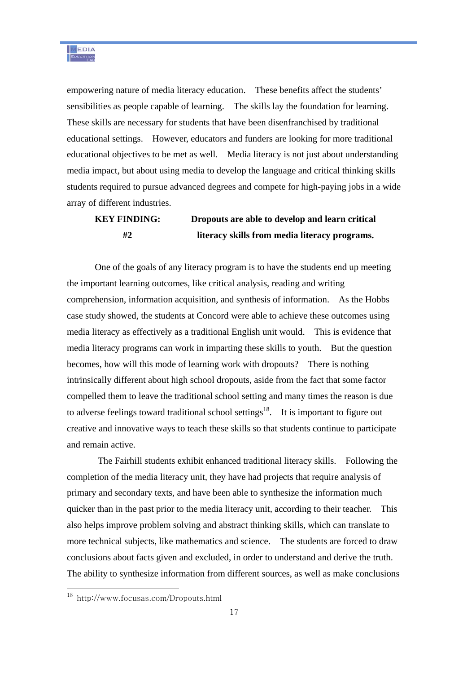empowering nature of media literacy education. These benefits affect the students' sensibilities as people capable of learning. The skills lay the foundation for learning. These skills are necessary for students that have been disenfranchised by traditional educational settings. However, educators and funders are looking for more traditional educational objectives to be met as well. Media literacy is not just about understanding media impact, but about using media to develop the language and critical thinking skills students required to pursue advanced degrees and compete for high-paying jobs in a wide array of different industries.

# **KEY FINDING: Dropouts are able to develop and learn critical #2 literacy skills from media literacy programs.**

One of the goals of any literacy program is to have the students end up meeting the important learning outcomes, like critical analysis, reading and writing comprehension, information acquisition, and synthesis of information. As the Hobbs case study showed, the students at Concord were able to achieve these outcomes using media literacy as effectively as a traditional English unit would. This is evidence that media literacy programs can work in imparting these skills to youth. But the question becomes, how will this mode of learning work with dropouts? There is nothing intrinsically different about high school dropouts, aside from the fact that some factor compelled them to leave the traditional school setting and many times the reason is due to adverse feelings toward traditional school settings<sup>18</sup>. It is important to figure out creative and innovative ways to teach these skills so that students continue to participate and remain active.

 The Fairhill students exhibit enhanced traditional literacy skills. Following the completion of the media literacy unit, they have had projects that require analysis of primary and secondary texts, and have been able to synthesize the information much quicker than in the past prior to the media literacy unit, according to their teacher. This also helps improve problem solving and abstract thinking skills, which can translate to more technical subjects, like mathematics and science. The students are forced to draw conclusions about facts given and excluded, in order to understand and derive the truth. The ability to synthesize information from different sources, as well as make conclusions

<sup>18</sup> http://www.focusas.com/Dropouts.html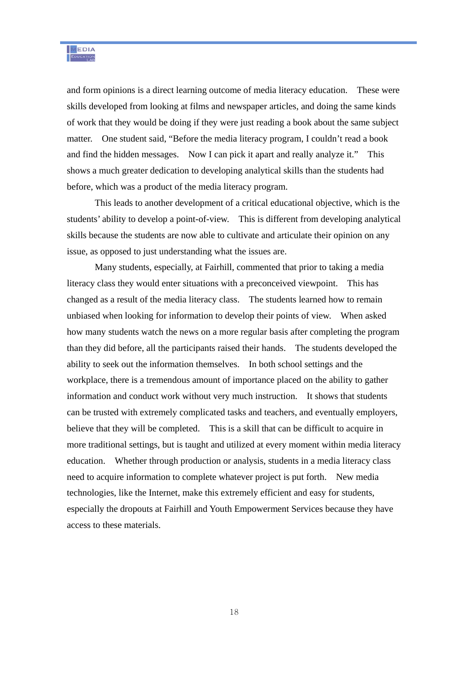and form opinions is a direct learning outcome of media literacy education. These were skills developed from looking at films and newspaper articles, and doing the same kinds of work that they would be doing if they were just reading a book about the same subject matter. One student said, "Before the media literacy program, I couldn't read a book and find the hidden messages. Now I can pick it apart and really analyze it." This shows a much greater dedication to developing analytical skills than the students had before, which was a product of the media literacy program.

This leads to another development of a critical educational objective, which is the students' ability to develop a point-of-view. This is different from developing analytical skills because the students are now able to cultivate and articulate their opinion on any issue, as opposed to just understanding what the issues are.

Many students, especially, at Fairhill, commented that prior to taking a media literacy class they would enter situations with a preconceived viewpoint. This has changed as a result of the media literacy class. The students learned how to remain unbiased when looking for information to develop their points of view. When asked how many students watch the news on a more regular basis after completing the program than they did before, all the participants raised their hands. The students developed the ability to seek out the information themselves. In both school settings and the workplace, there is a tremendous amount of importance placed on the ability to gather information and conduct work without very much instruction. It shows that students can be trusted with extremely complicated tasks and teachers, and eventually employers, believe that they will be completed. This is a skill that can be difficult to acquire in more traditional settings, but is taught and utilized at every moment within media literacy education. Whether through production or analysis, students in a media literacy class need to acquire information to complete whatever project is put forth. New media technologies, like the Internet, make this extremely efficient and easy for students, especially the dropouts at Fairhill and Youth Empowerment Services because they have access to these materials.

18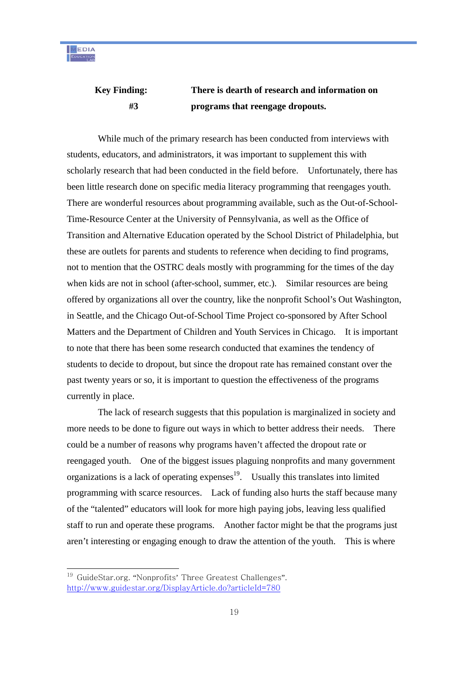# **Key Finding: There is dearth of research and information on #3 programs that reengage dropouts.**

While much of the primary research has been conducted from interviews with students, educators, and administrators, it was important to supplement this with scholarly research that had been conducted in the field before. Unfortunately, there has been little research done on specific media literacy programming that reengages youth. There are wonderful resources about programming available, such as the Out-of-School-Time-Resource Center at the University of Pennsylvania, as well as the Office of Transition and Alternative Education operated by the School District of Philadelphia, but these are outlets for parents and students to reference when deciding to find programs, not to mention that the OSTRC deals mostly with programming for the times of the day when kids are not in school (after-school, summer, etc.). Similar resources are being offered by organizations all over the country, like the nonprofit School's Out Washington, in Seattle, and the Chicago Out-of-School Time Project co-sponsored by After School Matters and the Department of Children and Youth Services in Chicago. It is important to note that there has been some research conducted that examines the tendency of students to decide to dropout, but since the dropout rate has remained constant over the past twenty years or so, it is important to question the effectiveness of the programs currently in place.

 The lack of research suggests that this population is marginalized in society and more needs to be done to figure out ways in which to better address their needs. There could be a number of reasons why programs haven't affected the dropout rate or reengaged youth. One of the biggest issues plaguing nonprofits and many government organizations is a lack of operating expenses $19$ . Usually this translates into limited programming with scarce resources. Lack of funding also hurts the staff because many of the "talented" educators will look for more high paying jobs, leaving less qualified staff to run and operate these programs. Another factor might be that the programs just aren't interesting or engaging enough to draw the attention of the youth. This is where

<sup>&</sup>lt;sup>19</sup> GuideStar.org. "Nonprofits' Three Greatest Challenges". http://www.guidestar.org/DisplayArticle.do?articleId=780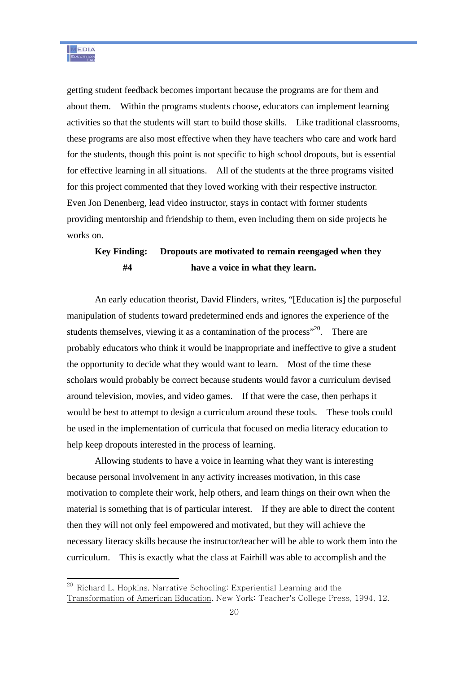getting student feedback becomes important because the programs are for them and about them. Within the programs students choose, educators can implement learning activities so that the students will start to build those skills. Like traditional classrooms, these programs are also most effective when they have teachers who care and work hard for the students, though this point is not specific to high school dropouts, but is essential for effective learning in all situations. All of the students at the three programs visited for this project commented that they loved working with their respective instructor. Even Jon Denenberg, lead video instructor, stays in contact with former students providing mentorship and friendship to them, even including them on side projects he works on.

## **Key Finding: Dropouts are motivated to remain reengaged when they #4 have a voice in what they learn.**

An early education theorist, David Flinders, writes, "[Education is] the purposeful manipulation of students toward predetermined ends and ignores the experience of the students themselves, viewing it as a contamination of the process<sup> $20$ .</sup> There are probably educators who think it would be inappropriate and ineffective to give a student the opportunity to decide what they would want to learn. Most of the time these scholars would probably be correct because students would favor a curriculum devised around television, movies, and video games. If that were the case, then perhaps it would be best to attempt to design a curriculum around these tools. These tools could be used in the implementation of curricula that focused on media literacy education to help keep dropouts interested in the process of learning.

Allowing students to have a voice in learning what they want is interesting because personal involvement in any activity increases motivation, in this case motivation to complete their work, help others, and learn things on their own when the material is something that is of particular interest. If they are able to direct the content then they will not only feel empowered and motivated, but they will achieve the necessary literacy skills because the instructor/teacher will be able to work them into the curriculum. This is exactly what the class at Fairhill was able to accomplish and the

<sup>&</sup>lt;sup>20</sup> Richard L. Hopkins. Narrative Schooling: Experiential Learning and the Transformation of American Education. New York: Teacher's College Press, 1994, 12.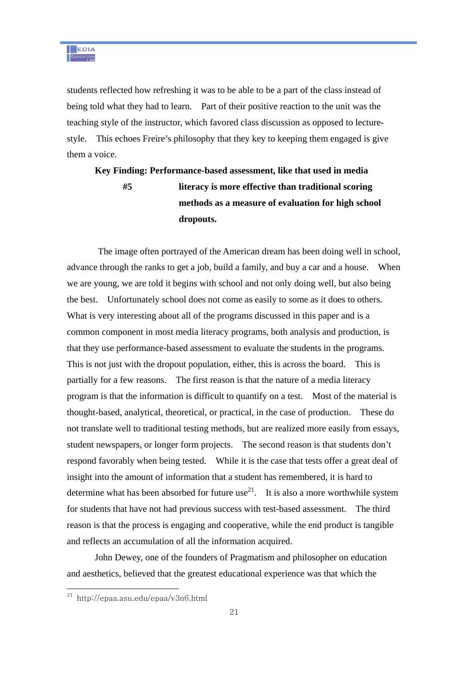students reflected how refreshing it was to be able to be a part of the class instead of being told what they had to learn. Part of their positive reaction to the unit was the teaching style of the instructor, which favored class discussion as opposed to lecturestyle. This echoes Freire's philosophy that they key to keeping them engaged is give them a voice.

# **Key Finding: Performance-based assessment, like that used in media #5 literacy is more effective than traditional scoring methods as a measure of evaluation for high school dropouts.**

 The image often portrayed of the American dream has been doing well in school, advance through the ranks to get a job, build a family, and buy a car and a house. When we are young, we are told it begins with school and not only doing well, but also being the best. Unfortunately school does not come as easily to some as it does to others. What is very interesting about all of the programs discussed in this paper and is a common component in most media literacy programs, both analysis and production, is that they use performance-based assessment to evaluate the students in the programs. This is not just with the dropout population, either, this is across the board. This is partially for a few reasons. The first reason is that the nature of a media literacy program is that the information is difficult to quantify on a test. Most of the material is thought-based, analytical, theoretical, or practical, in the case of production. These do not translate well to traditional testing methods, but are realized more easily from essays, student newspapers, or longer form projects. The second reason is that students don't respond favorably when being tested. While it is the case that tests offer a great deal of insight into the amount of information that a student has remembered, it is hard to determine what has been absorbed for future use<sup>21</sup>. It is also a more worthwhile system for students that have not had previous success with test-based assessment. The third reason is that the process is engaging and cooperative, while the end product is tangible and reflects an accumulation of all the information acquired.

John Dewey, one of the founders of Pragmatism and philosopher on education and aesthetics, believed that the greatest educational experience was that which the

<sup>21</sup> http://epaa.asu.edu/epaa/v3n6.html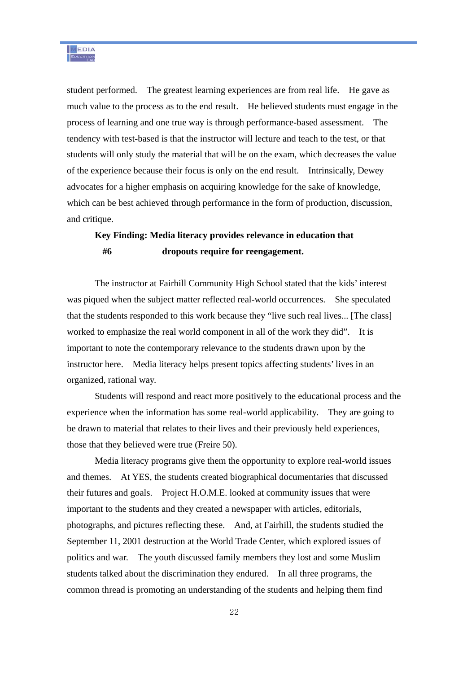student performed. The greatest learning experiences are from real life. He gave as much value to the process as to the end result. He believed students must engage in the process of learning and one true way is through performance-based assessment. The tendency with test-based is that the instructor will lecture and teach to the test, or that students will only study the material that will be on the exam, which decreases the value of the experience because their focus is only on the end result. Intrinsically, Dewey advocates for a higher emphasis on acquiring knowledge for the sake of knowledge, which can be best achieved through performance in the form of production, discussion, and critique.

## **Key Finding: Media literacy provides relevance in education that #6 dropouts require for reengagement.**

The instructor at Fairhill Community High School stated that the kids' interest was piqued when the subject matter reflected real-world occurrences. She speculated that the students responded to this work because they "live such real lives... [The class] worked to emphasize the real world component in all of the work they did". It is important to note the contemporary relevance to the students drawn upon by the instructor here. Media literacy helps present topics affecting students' lives in an organized, rational way.

Students will respond and react more positively to the educational process and the experience when the information has some real-world applicability. They are going to be drawn to material that relates to their lives and their previously held experiences, those that they believed were true (Freire 50).

Media literacy programs give them the opportunity to explore real-world issues and themes. At YES, the students created biographical documentaries that discussed their futures and goals. Project H.O.M.E. looked at community issues that were important to the students and they created a newspaper with articles, editorials, photographs, and pictures reflecting these. And, at Fairhill, the students studied the September 11, 2001 destruction at the World Trade Center, which explored issues of politics and war. The youth discussed family members they lost and some Muslim students talked about the discrimination they endured. In all three programs, the common thread is promoting an understanding of the students and helping them find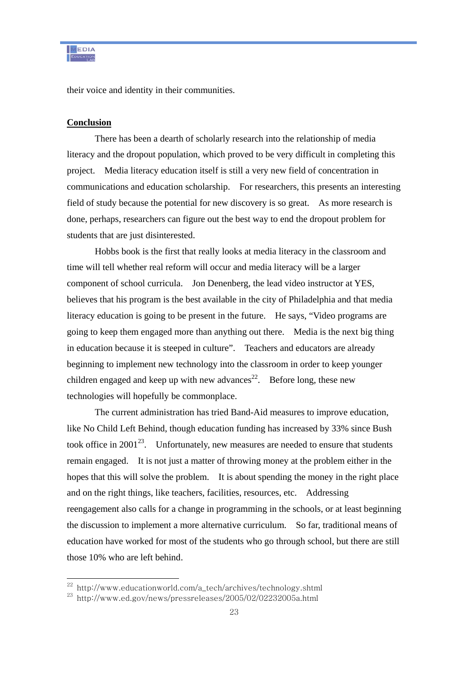their voice and identity in their communities.

#### **Conclusion**

 $\overline{a}$ 

There has been a dearth of scholarly research into the relationship of media literacy and the dropout population, which proved to be very difficult in completing this project. Media literacy education itself is still a very new field of concentration in communications and education scholarship. For researchers, this presents an interesting field of study because the potential for new discovery is so great. As more research is done, perhaps, researchers can figure out the best way to end the dropout problem for students that are just disinterested.

Hobbs book is the first that really looks at media literacy in the classroom and time will tell whether real reform will occur and media literacy will be a larger component of school curricula. Jon Denenberg, the lead video instructor at YES, believes that his program is the best available in the city of Philadelphia and that media literacy education is going to be present in the future. He says, "Video programs are going to keep them engaged more than anything out there. Media is the next big thing in education because it is steeped in culture". Teachers and educators are already beginning to implement new technology into the classroom in order to keep younger children engaged and keep up with new advances<sup>22</sup>. Before long, these new technologies will hopefully be commonplace.

The current administration has tried Band-Aid measures to improve education, like No Child Left Behind, though education funding has increased by 33% since Bush took office in  $2001^{23}$ . Unfortunately, new measures are needed to ensure that students remain engaged. It is not just a matter of throwing money at the problem either in the hopes that this will solve the problem. It is about spending the money in the right place and on the right things, like teachers, facilities, resources, etc. Addressing reengagement also calls for a change in programming in the schools, or at least beginning the discussion to implement a more alternative curriculum. So far, traditional means of education have worked for most of the students who go through school, but there are still those 10% who are left behind.

<sup>22</sup> http://www.educationworld.com/a\_tech/archives/technology.shtml

<sup>23</sup> http://www.ed.gov/news/pressreleases/2005/02/02232005a.html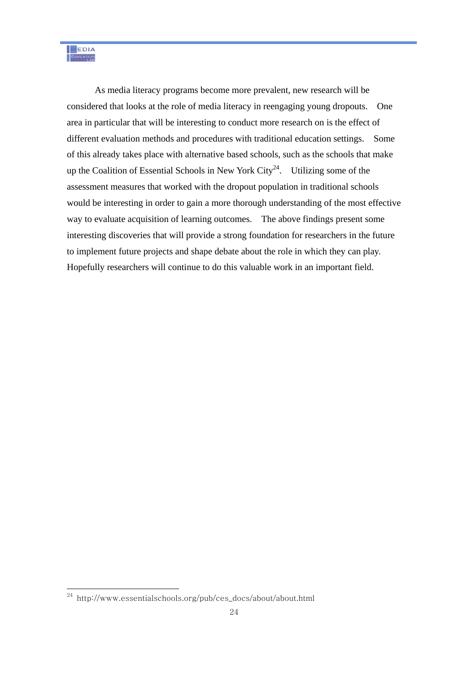As media literacy programs become more prevalent, new research will be considered that looks at the role of media literacy in reengaging young dropouts. One area in particular that will be interesting to conduct more research on is the effect of different evaluation methods and procedures with traditional education settings. Some of this already takes place with alternative based schools, such as the schools that make up the Coalition of Essential Schools in New York City<sup>24</sup>. Utilizing some of the assessment measures that worked with the dropout population in traditional schools would be interesting in order to gain a more thorough understanding of the most effective way to evaluate acquisition of learning outcomes. The above findings present some interesting discoveries that will provide a strong foundation for researchers in the future to implement future projects and shape debate about the role in which they can play. Hopefully researchers will continue to do this valuable work in an important field.

 $^{24}$  http://www.essentialschools.org/pub/ces\_docs/about/about.html